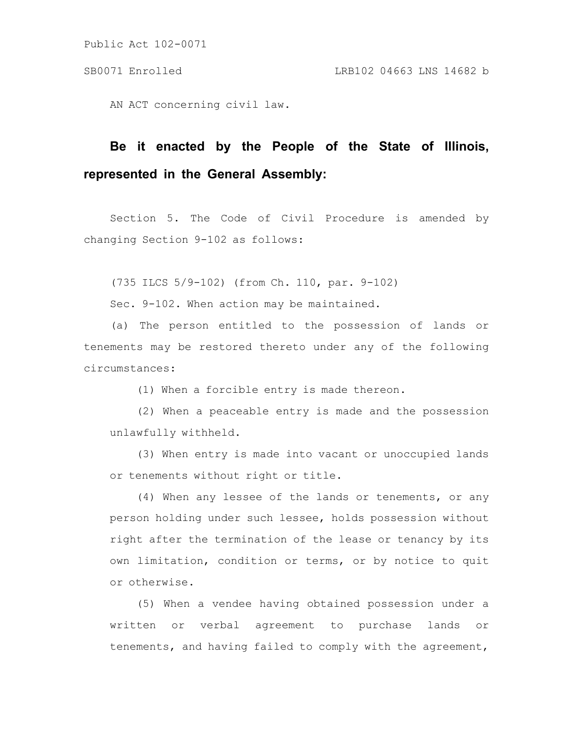AN ACT concerning civil law.

# **Be it enacted by the People of the State of Illinois, represented in the General Assembly:**

Section 5. The Code of Civil Procedure is amended by changing Section 9-102 as follows:

(735 ILCS 5/9-102) (from Ch. 110, par. 9-102)

Sec. 9-102. When action may be maintained.

(a) The person entitled to the possession of lands or tenements may be restored thereto under any of the following circumstances:

(1) When a forcible entry is made thereon.

(2) When a peaceable entry is made and the possession unlawfully withheld.

(3) When entry is made into vacant or unoccupied lands or tenements without right or title.

(4) When any lessee of the lands or tenements, or any person holding under such lessee, holds possession without right after the termination of the lease or tenancy by its own limitation, condition or terms, or by notice to quit or otherwise.

(5) When a vendee having obtained possession under a written or verbal agreement to purchase lands or tenements, and having failed to comply with the agreement,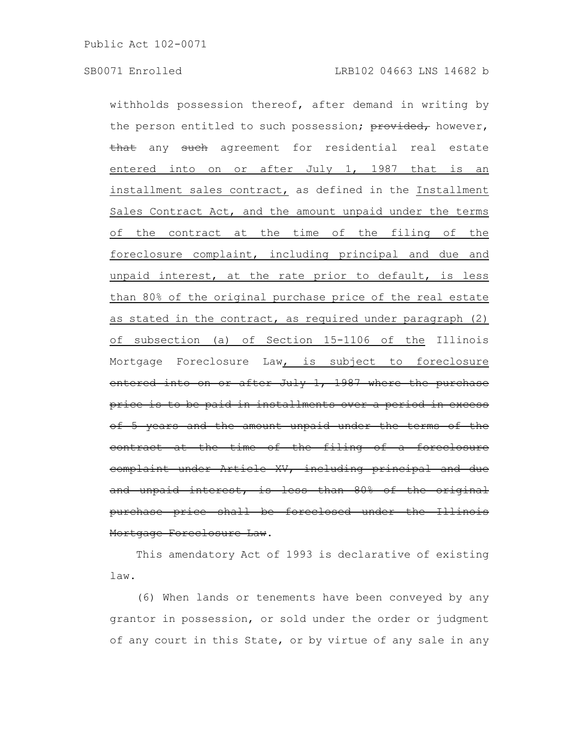withholds possession thereof, after demand in writing by the person entitled to such possession; provided, however, that any such agreement for residential real estate entered into on or after July 1, 1987 that is an installment sales contract, as defined in the Installment Sales Contract Act, and the amount unpaid under the terms of the contract at the time of the filing of the foreclosure complaint, including principal and due and unpaid interest, at the rate prior to default, is less than 80% of the original purchase price of the real estate as stated in the contract, as required under paragraph (2) of subsection (a) of Section 15-1106 of the Illinois Mortgage Foreclosure Law, is subject to foreclosure entered into on or after July 1, 1987 where the purchase price is to be paid in installments over a period in excess of 5 years and the amount unpaid under the terms contract at the time of the filing of a foreclosure complaint under Article XV, including principal and due and unpaid interest, is less than 80% of the original purchase price shall be foreclosed under the Illinois Mortgage Foreclosure Law.

This amendatory Act of 1993 is declarative of existing law.

(6) When lands or tenements have been conveyed by any grantor in possession, or sold under the order or judgment of any court in this State, or by virtue of any sale in any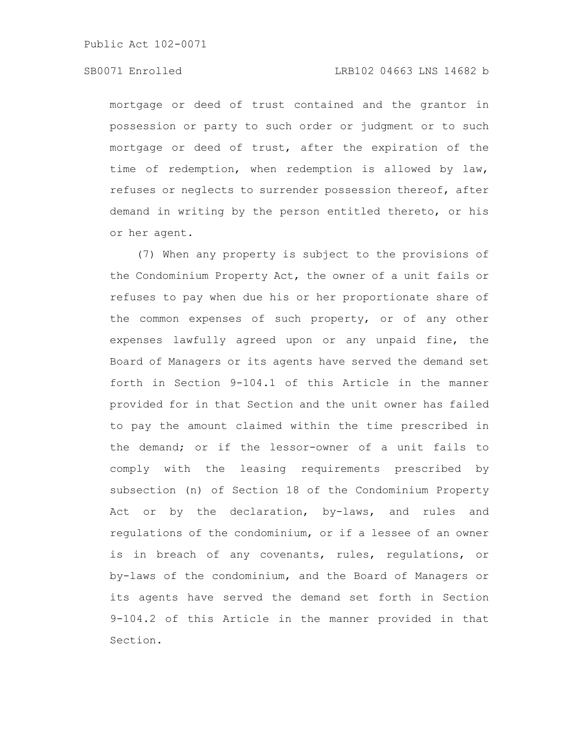### SB0071 Enrolled LRB102 04663 LNS 14682 b

mortgage or deed of trust contained and the grantor in possession or party to such order or judgment or to such mortgage or deed of trust, after the expiration of the time of redemption, when redemption is allowed by law, refuses or neglects to surrender possession thereof, after demand in writing by the person entitled thereto, or his or her agent.

(7) When any property is subject to the provisions of the Condominium Property Act, the owner of a unit fails or refuses to pay when due his or her proportionate share of the common expenses of such property, or of any other expenses lawfully agreed upon or any unpaid fine, the Board of Managers or its agents have served the demand set forth in Section 9-104.1 of this Article in the manner provided for in that Section and the unit owner has failed to pay the amount claimed within the time prescribed in the demand; or if the lessor-owner of a unit fails to comply with the leasing requirements prescribed by subsection (n) of Section 18 of the Condominium Property Act or by the declaration, by-laws, and rules and regulations of the condominium, or if a lessee of an owner is in breach of any covenants, rules, regulations, or by-laws of the condominium, and the Board of Managers or its agents have served the demand set forth in Section 9-104.2 of this Article in the manner provided in that Section.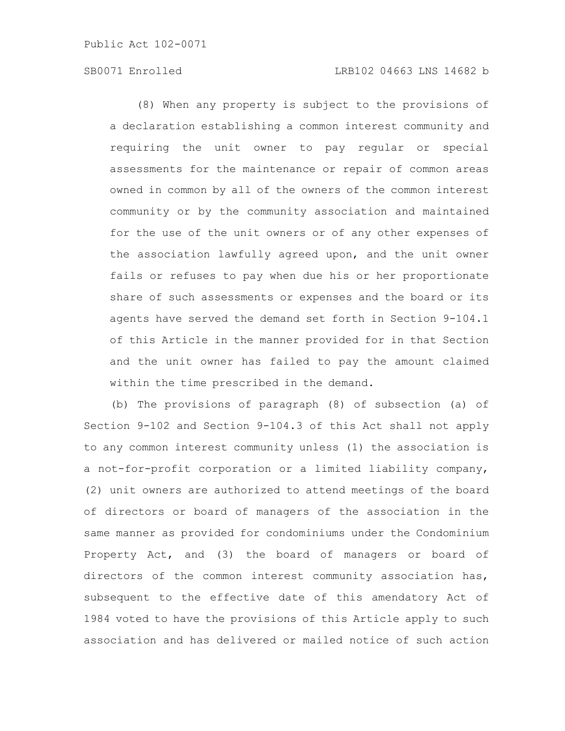### SB0071 Enrolled LRB102 04663 LNS 14682 b

(8) When any property is subject to the provisions of a declaration establishing a common interest community and requiring the unit owner to pay regular or special assessments for the maintenance or repair of common areas owned in common by all of the owners of the common interest community or by the community association and maintained for the use of the unit owners or of any other expenses of the association lawfully agreed upon, and the unit owner fails or refuses to pay when due his or her proportionate share of such assessments or expenses and the board or its agents have served the demand set forth in Section 9-104.1 of this Article in the manner provided for in that Section and the unit owner has failed to pay the amount claimed within the time prescribed in the demand.

(b) The provisions of paragraph (8) of subsection (a) of Section 9-102 and Section 9-104.3 of this Act shall not apply to any common interest community unless (1) the association is a not-for-profit corporation or a limited liability company, (2) unit owners are authorized to attend meetings of the board of directors or board of managers of the association in the same manner as provided for condominiums under the Condominium Property Act, and (3) the board of managers or board of directors of the common interest community association has, subsequent to the effective date of this amendatory Act of 1984 voted to have the provisions of this Article apply to such association and has delivered or mailed notice of such action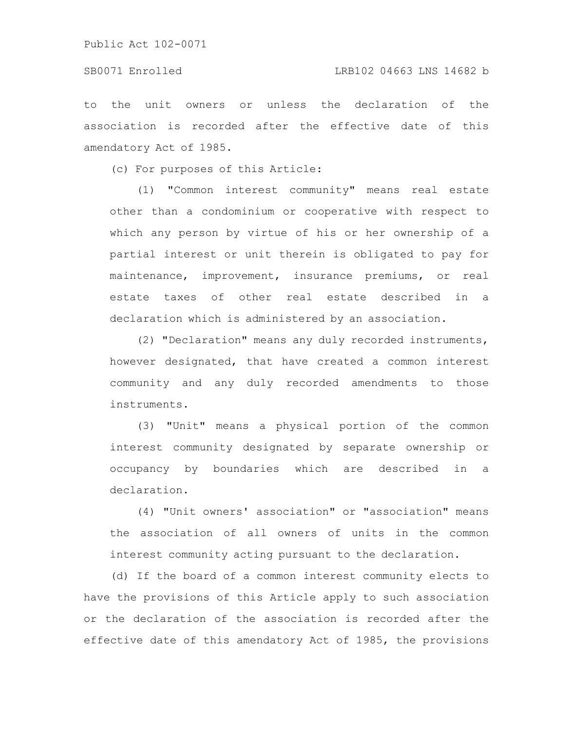#### SB0071 Enrolled LRB102 04663 LNS 14682 b

to the unit owners or unless the declaration of the association is recorded after the effective date of this amendatory Act of 1985.

(c) For purposes of this Article:

(1) "Common interest community" means real estate other than a condominium or cooperative with respect to which any person by virtue of his or her ownership of a partial interest or unit therein is obligated to pay for maintenance, improvement, insurance premiums, or real estate taxes of other real estate described in a declaration which is administered by an association.

(2) "Declaration" means any duly recorded instruments, however designated, that have created a common interest community and any duly recorded amendments to those instruments.

(3) "Unit" means a physical portion of the common interest community designated by separate ownership or occupancy by boundaries which are described in a declaration.

(4) "Unit owners' association" or "association" means the association of all owners of units in the common interest community acting pursuant to the declaration.

(d) If the board of a common interest community elects to have the provisions of this Article apply to such association or the declaration of the association is recorded after the effective date of this amendatory Act of 1985, the provisions